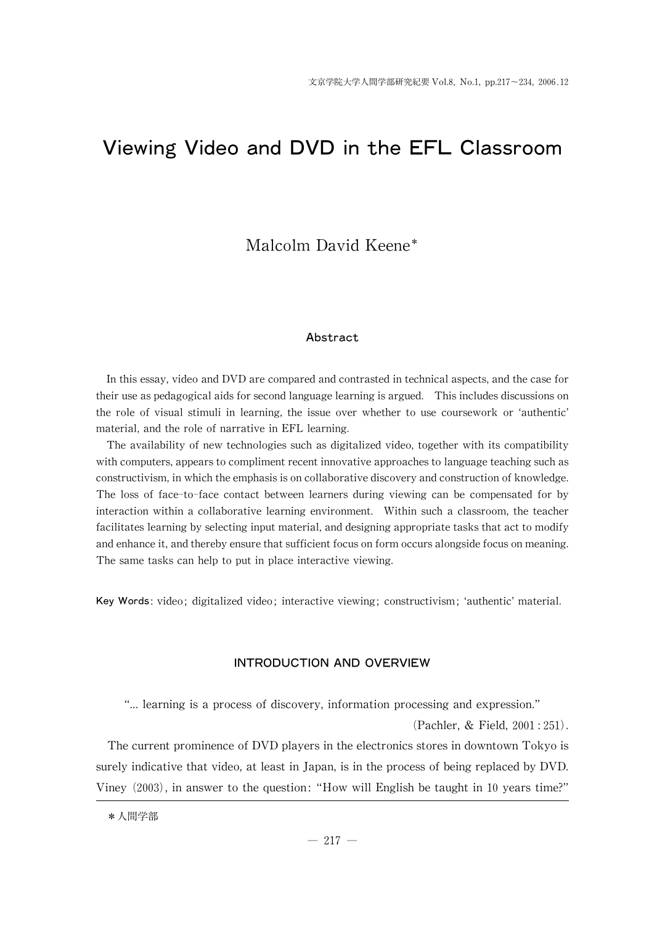# Viewing Video and DVD in the EFL Classroom

# Malcolm David Keene\*

# Abstract

In this essay, video and DVD are compared and contrasted in technical aspects, and the case for their use as pedagogical aids for second language learning is argued. This includes discussions on the role of visual stimuli in learning, the issue over whether to use coursework or ʻauthentic' material, and the role of narrative in EFL learning.

The availability of new technologies such as digitalized video, together with its compatibility with computers, appears to compliment recent innovative approaches to language teaching such as constructivism, in which the emphasis is on collaborative discovery and construction of knowledge. The loss of face-to-face contact between learners during viewing can be compensated for by interaction within a collaborative learning environment. Within such a classroom, the teacher facilitates learning by selecting input material, and designing appropriate tasks that act to modify and enhance it, and thereby ensure that sufficient focus on form occurs alongside focus on meaning. The same tasks can help to put in place interactive viewing.

Key Words: video; digitalized video; interactive viewing; constructivism; 'authentic' material.

# INTRODUCTION AND OVERVIEW

"... learning is a process of discovery, information processing and expression."

(Pachler,& Field, 2001:251).

The current prominence of DVD players in the electronics stores in downtown Tokyo is surely indicative that video, at least in Japan, is in the process of being replaced by DVD. Viney (2003), in answer to the question:"How will English be taught in 10years time?"

\*人間学部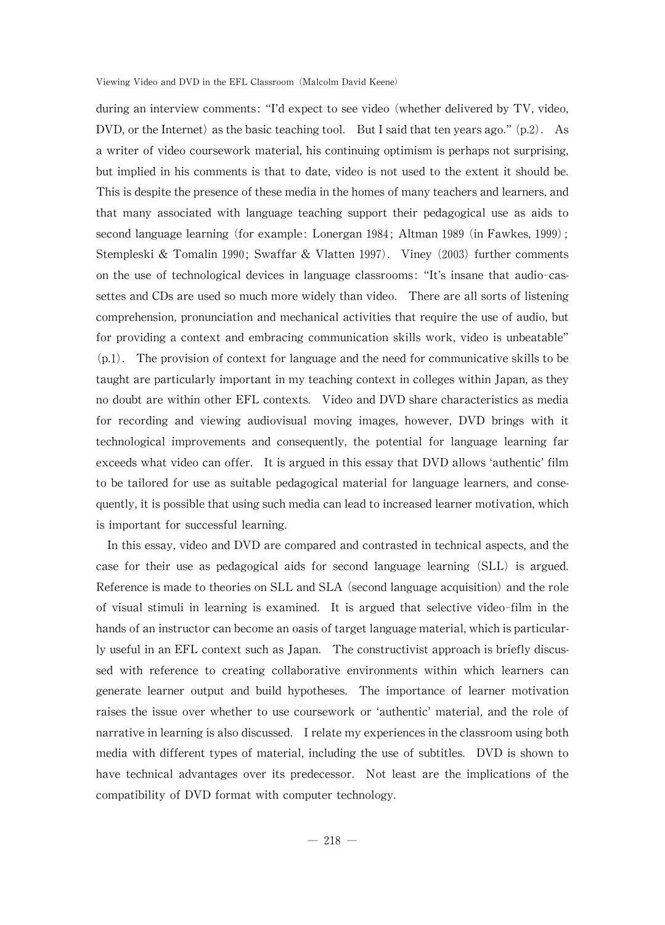during an interview comments: "I'd expect to see video (whether delivered by TV, video, DVD, or the Internet) as the basic teaching tool. But I said that ten years ago."  $(p.2)$ . As a writer of video coursework material, his continuing optimism is perhaps not surprising, but implied in his comments is that to date, video is not used to the extent it should be. This is despite the presence of these media in the homes of many teachers and learners, and that many associated with language teaching support their pedagogical use as aids to second language learning (for example: Lonergan 1984; Altman 1989 (in Fawkes, 1999); Stempleski & Tomalin 1990; Swaffar & Vlatten 1997). Viney (2003) further comments on the use of technological devices in language classrooms: "It's insane that audio-cassettes and CDs are used so much more widely than video. There are all sorts of listening comprehension, pronunciation and mechanical activities that require the use of audio, but for providing a context and embracing communication skills work, video is unbeatable"  $(p,1)$ . The provision of context for language and the need for communicative skills to be taught are particularly important in my teaching context in colleges within Japan, as they no doubt are within other EFL contexts. Video and DVD share characteristics as media for recording and viewing audiovisual moving images, however, DVD brings with it technological improvements and consequently, the potential for language learning far exceeds what video can offer. It is argued in this essay that DVD allows 'authentic' film to be tailored for use as suitable pedagogical material for language learners, and consequently, it is possible that using such media can lead to increased learner motivation, which is important for successful learning.

In this essay, video and DVD are compared and contrasted in technical aspects, and the case for their use as pedagogical aids for second language learning (SLL) is argued. Reference is made to theories on SLL and SLA (second language acquisition) and the role of visual stimuli in learning is examined. It is argued that selective video-film in the hands of an instructor can become an oasis of target language material, which is particularly useful in an EFL context such as Japan. The constructivist approach is briefly discussed with reference to creating collaborative environments within which learners can generate learner output and build hypotheses. The importance of learner motivation raises the issue over whether to use coursework or ʻauthentic'material, and the role of narrative in learning is also discussed. I relate my experiences in the classroom using both media with different types of material, including the use of subtitles. DVD is shown to have technical advantages over its predecessor. Not least are the implications of the compatibility of DVD format with computer technology.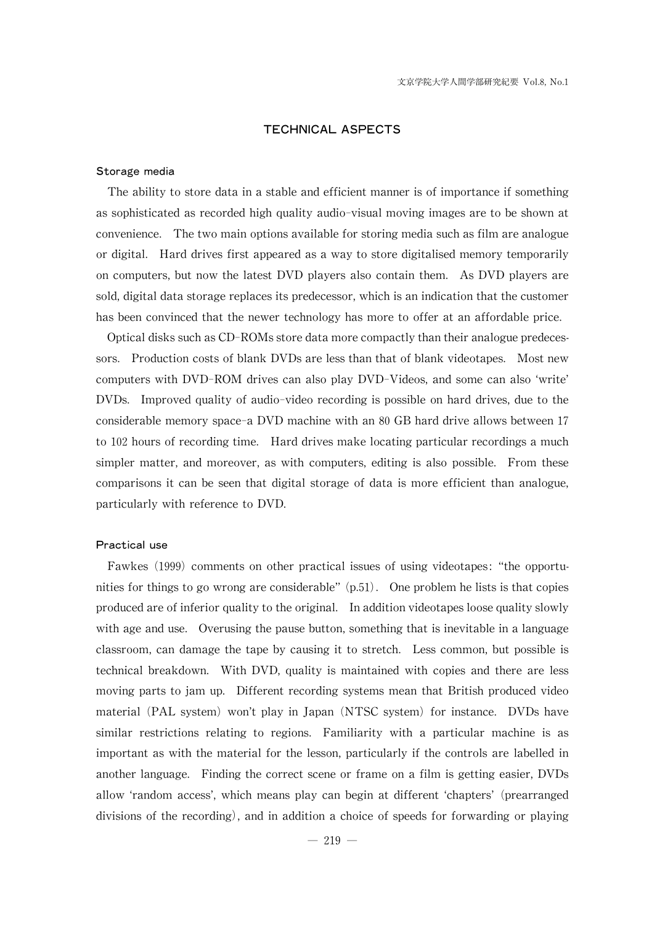# TECHNICAL ASPECTS

#### Storage media

The ability to store data in a stable and efficient manner is of importance if something as sophisticated as recorded high quality audio-visual moving images are to be shown at convenience. The two main options available for storing media such as film are analogue or digital. Hard drives first appeared as a wayto store digitalised memorytemporarily on computers, but now the latest DVD players also contain them. As DVD players are sold, digital data storage replaces its predecessor, which is an indication that the customer has been convinced that the newer technology has more to offer at an affordable price.

Optical disks such as CD-ROMs store data more compactly than their analogue predecessors. Production costs of blank DVDs are less than that of blank videotapes. Most new computers with DVD-ROM drives can also play DVD-Videos, and some can also ʻwrite' DVDs. Improved quality of audio-video recording is possible on hard drives, due to the considerable memory space-a DVD machine with an 80 GB hard drive allows between 17 to 102 hours of recording time. Hard drives make locating particular recordings a much simpler matter, and moreover, as with computers, editing is also possible. From these comparisons it can be seen that digital storage of data is more efficient than analogue, particularly with reference to DVD.

#### Practical use

Fawkes (1999) comments on other practical issues of using videotapes: "the opportunities for things to go wrong are considerable"  $(p.51)$ . One problem he lists is that copies produced are of inferior quality to the original. In addition videotapes loose quality slowly with age and use. Overusing the pause button, something that is inevitable in a language classroom, can damage the tape by causing it to stretch. Less common, but possible is technical breakdown. With DVD, quality is maintained with copies and there are less moving parts to jam up. Different recording systems mean that British produced video material (PAL system) won't play in Japan (NTSC system) for instance. DVDs have similar restrictions relating to regions. Familiarity with a particular machine is as important as with the material for the lesson, particularly if the controls are labelled in another language. Finding the correct scene or frame on a film is getting easier, DVDs allow ʻrandom access', which means play can begin at different ʻchapters'(prearranged divisions of the recording), and in addition a choice of speeds for forwarding or playing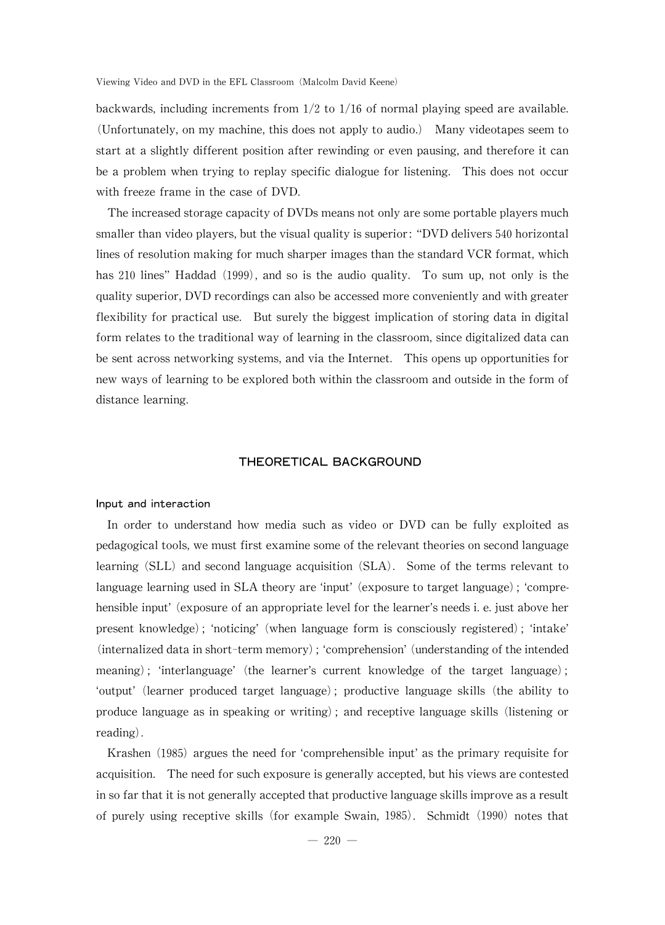backwards, including increments from  $1/2$  to  $1/16$  of normal playing speed are available. (Unfortunately, on my machine, this does not apply to audio.) Many videotapes seem to start at a slightly different position after rewinding or even pausing, and therefore it can be a problem when trying to replay specific dialogue for listening. This does not occur with freeze frame in the case of DVD.

The increased storage capacity of DVDs means not only are some portable players much smaller than video players, but the visual quality is superior: "DVD delivers 540 horizontal lines of resolution making for much sharper images than the standard VCR format, which has 210 lines" Haddad (1999), and so is the audio quality. To sum up, not only is the quality superior, DVD recordings can also be accessed more conveniently and with greater flexibility for practical use. But surely the biggest implication of storing data in digital form relates to the traditional way of learning in the classroom, since digitalized data can be sent across networking systems, and via the Internet. This opens up opportunities for new ways of learning to be explored both within the classroom and outside in the form of distance learning.

# THEORETICAL BACKGROUND

#### Input and interaction

In order to understand how media such as video or DVD can be fully exploited as pedagogical tools, we must first examine some of the relevant theories on second language learning (SLL) and second language acquisition (SLA). Some of the terms relevant to language learning used in SLA theory are 'input' (exposure to target language); 'comprehensible input' (exposure of an appropriate level for the learner's needs i. e. just above her present knowledge); ʻnoticing'(when language form is consciously registered); ʻintake' (internalized data in short-term memory); 'comprehension' (understanding of the intended meaning); 'interlanguage' (the learner's current knowledge of the target language); ʻoutput'(learner produced target language); productive language skills (the ability to produce language as in speaking or writing); and receptive language skills (listening or reading).

Krashen (1985) argues the need for 'comprehensible input' as the primary requisite for acquisition. The need for such exposure is generally accepted, but his views are contested in so far that it is not generally accepted that productive language skills improve as a result of purely using receptive skills (for example Swain, 1985). Schmidt (1990) notes that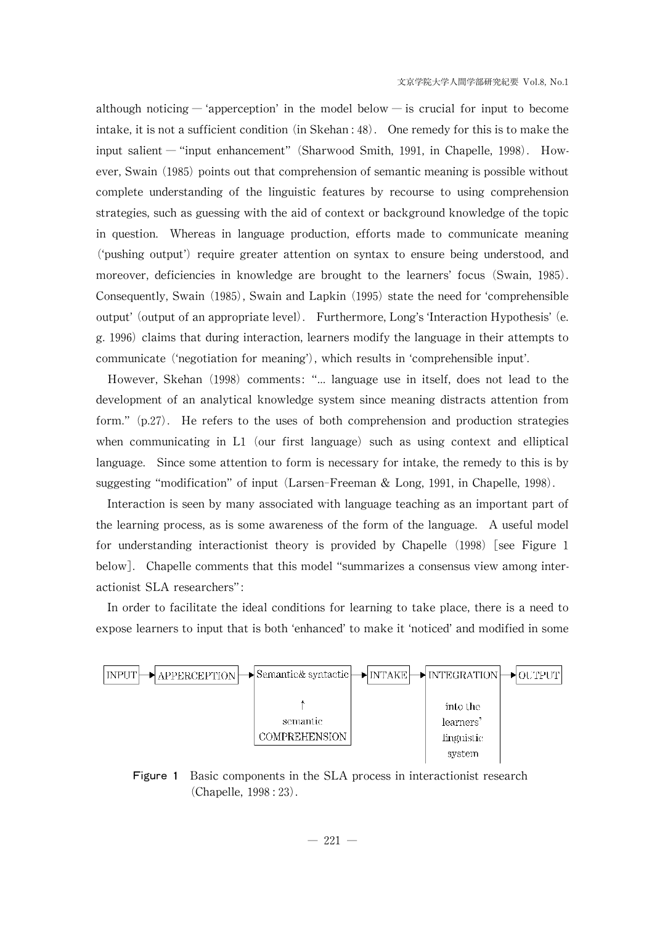although noticing — 'apperception' in the model below — is crucial for input to become intake, it is not a sufficient condition (in Skehan:  $48$ ). One remedy for this is to make the input salient― "input enhancement"(Sharwood Smith, 1991, in Chapelle, 1998). However, Swain (1985) points out that comprehension of semantic meaning is possible without complete understanding of the linguistic features by recourse to using comprehension strategies, such as guessing with the aid of context or background knowledge of the topic in question. Whereas in language production, efforts made to communicate meaning (ʻpushing output') require greater attention on syntax to ensure being understood, and moreover, deficiencies in knowledge are brought to the learners' focus (Swain, 1985). Consequently, Swain  $(1985)$ , Swain and Lapkin  $(1995)$  state the need for 'comprehensible output' (output of an appropriate level). Furthermore, Long's 'Interaction Hypothesis' (e. g. 1996) claims that during interaction, learners modify the language in their attempts to communicate ('negotiation for meaning'), which results in 'comprehensible input'.

However, Skehan (1998) comments: "... language use in itself, does not lead to the development of an analytical knowledge system since meaning distracts attention from form."(p.27). He refers to the uses of both comprehension and production strategies when communicating in L1 (our first language) such as using context and elliptical language. Since some attention to form is necessary for intake, the remedy to this is by suggesting "modification" of input (Larsen-Freeman & Long, 1991, in Chapelle, 1998).

Interaction is seen bymany associated with language teaching as an important part of the learning process, as is some awareness of the form of the language. A useful model for understanding interactionist theory is provided by Chapelle  $(1998)$  [see Figure 1 below]. Chapelle comments that this model "summarizes a consensus viewamong interactionist SLA researchers":

In order to facilitate the ideal conditions for learning to take place, there is a need to expose learners to input that is both ʻenhanced'to make it ʻnoticed'and modified in some



Figure 1 Basic components in the SLA process in interactionist research (Chapelle, 1998:23).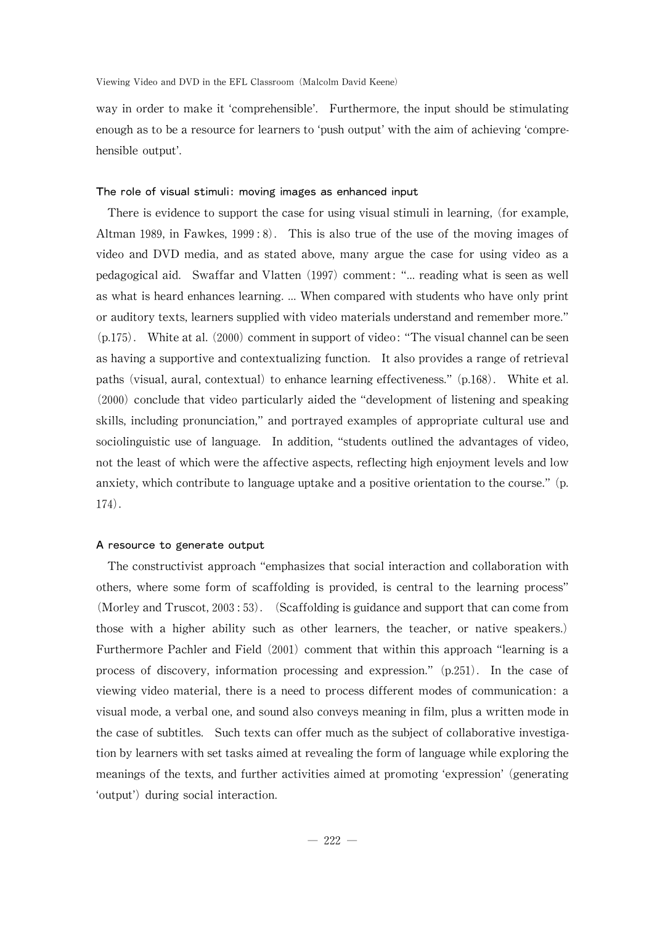way in order to make it ʻcomprehensible'. Furthermore, the input should be stimulating enough as to be a resource for learners to 'push output' with the aim of achieving 'comprehensible output'.

#### The role of visual stimuli: moving images as enhanced input

There is evidence to support the case for using visual stimuli in learning, (for example, Altman 1989, in Fawkes, 1999:8). This is also true of the use of the moving images of video and DVD media, and as stated above, many argue the case for using video as a pedagogical aid. Swaffar and Vlatten (1997) comment: "... reading what is seen as well as what is heard enhances learning....When compared with students who have onlyprint or auditory texts, learners supplied with video materials understand and remember more." (p.175). White at al. (2000) comment in support of video: "The visual channel can be seen as having a supportive and contextualizing function. It also provides a range of retrieval paths (visual, aural, contextual) to enhance learning effectiveness."  $(p.168)$ . White et al.  $(2000)$  conclude that video particularly aided the "development of listening and speaking skills, including pronunciation,"and portrayed examples of appropriate cultural use and sociolinguistic use of language. In addition, "students outlined the advantages of video, not the least of which were the affective aspects, reflecting high enjoyment levels and low anxiety, which contribute to language uptake and a positive orientation to the course."  $(p.$ 174).

# A resource to generate output

The constructivist approach "emphasizes that social interaction and collaboration with others, where some form of scaffolding is provided, is central to the learning process" (Morley and Truscot,  $2003:53$ ). (Scaffolding is guidance and support that can come from those with a higher ability such as other learners, the teacher, or native speakers.) Furthermore Pachler and Field (2001) comment that within this approach "learning is a process of discovery, information processing and expression."(p.251). In the case of viewing video material, there is a need to process different modes of communication: a visual mode, a verbal one, and sound also conveys meaning in film, plus a written mode in the case of subtitles. Such texts can offer much as the subject of collaborative investigation by learners with set tasks aimed at revealing the form of language while exploring the meanings of the texts, and further activities aimed at promoting 'expression' (generating 'output') during social interaction.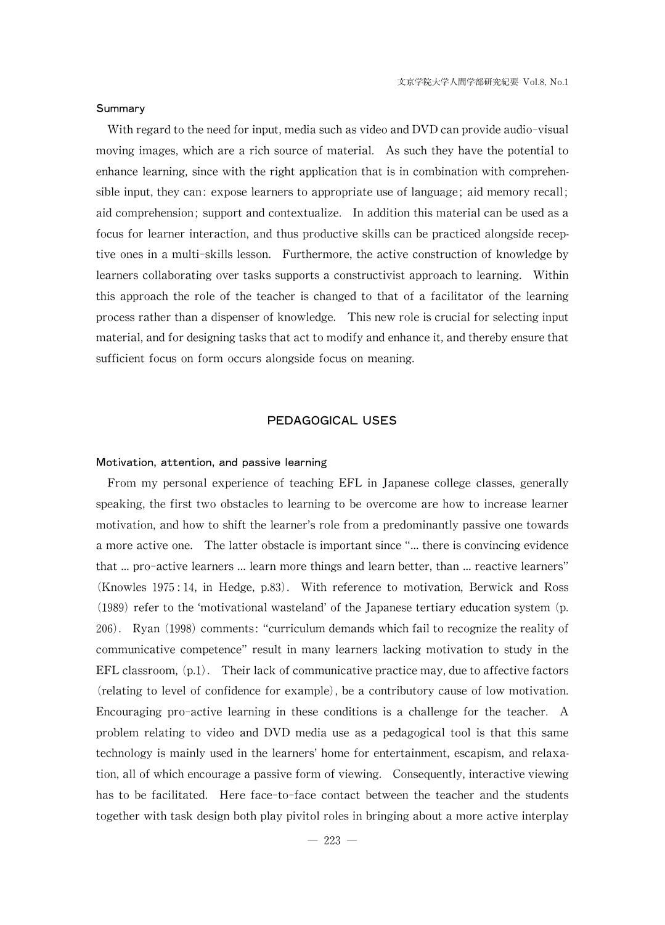#### Summary

With regard to the need for input, media such as video and DVD can provide audio-visual moving images, which are a rich source of material. As such they have the potential to enhance learning, since with the right application that is in combination with comprehensible input, they can: expose learners to appropriate use of language; aid memory recall; aid comprehension; support and contextualize. In addition this material can be used as a focus for learner interaction, and thus productive skills can be practiced alongside receptive ones in a multi-skills lesson. Furthermore, the active construction of knowledge by learners collaborating over tasks supports a constructivist approach to learning. Within this approach the role of the teacher is changed to that of a facilitator of the learning process rather than a dispenser of knowledge. This new role is crucial for selecting input material, and for designing tasks that act to modify and enhance it, and thereby ensure that sufficient focus on form occurs alongside focus on meaning.

# PEDAGOGICAL USES

## Motivation, attention, and passive learning

From my personal experience of teaching EFL in Japanese college classes, generally speaking, the first two obstacles to learning to be overcome are how to increase learner motivation, and how to shift the learner's role from a predominantly passive one towards a more active one. The latter obstacle is important since "... there is convincing evidence that ... pro-active learners ... learn more things and learn better, than ... reactive learners" (Knowles 1975:14, in Hedge, p.83). With reference to motivation, Berwick and Ross  $(1989)$  refer to the 'motivational wasteland' of the Japanese tertiary education system (p. 206). Ryan (1998) comments: "curriculum demands which fail to recognize the reality of communicative competence"result in many learners lacking motivation to study in the EFL classroom,  $(p.1)$ . Their lack of communicative practice may, due to affective factors (relating to level of confidence for example), be a contributory cause of low motivation. Encouraging pro-active learning in these conditions is a challenge for the teacher. A problem relating to video and DVD media use as a pedagogical tool is that this same technology is mainly used in the learners' home for entertainment, escapism, and relaxation, all of which encourage a passive form of viewing. Consequently, interactive viewing has to be facilitated. Here face-to-face contact between the teacher and the students together with task design both play pivitol roles in bringing about a more active interplay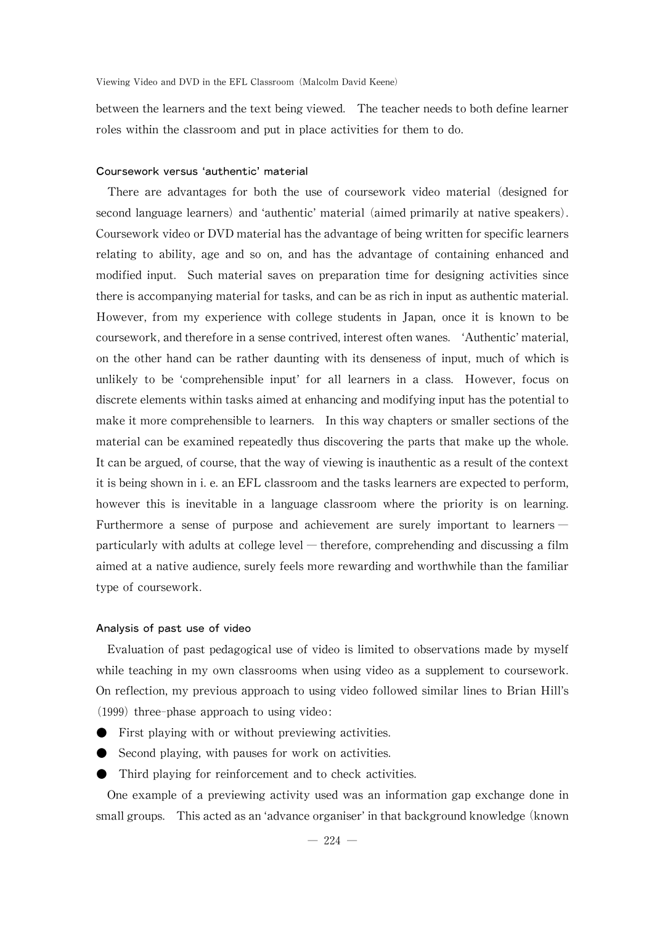between the learners and the text being viewed. The teacher needs to both define learner roles within the classroom and put in place activities for them to do.

### Coursework versus ʻauthentic'material

There are advantages for both the use of coursework video material (designed for second language learners) and 'authentic' material (aimed primarily at native speakers). Coursework video or DVD material has the advantage of being written for specific learners relating to ability, age and so on, and has the advantage of containing enhanced and modified input. Such material saves on preparation time for designing activities since there is accompanying material for tasks, and can be as rich in input as authentic material. However, from my experience with college students in Japan, once it is known to be coursework,andthereforeinasensecontrived,interestoftenwanes. ʻAuthentic'material, on the other hand can be rather daunting with its denseness of input, much of which is unlikely to be ʻcomprehensible input'for all learners in a class. However, focus on discrete elements within tasks aimed at enhancing and modifying input has the potential to make it more comprehensible to learners. In this way chapters or smaller sections of the material can be examined repeatedly thus discovering the parts that make up thewhole. It can be argued, of course, that the way of viewing is inauthentic as a result of the context it is being shown in i. e. an EFL classroom and the tasks learners are expected to perform, however this is inevitable in a language classroom where the priority is on learning. Furthermore a sense of purpose and achievement are surely important to learners― particularly with adults at college level — therefore, comprehending and discussing a film aimed at a native audience, surely feels more rewarding and worthwhile than the familiar type of coursework.

## Analysis of past use of video

Evaluation of past pedagogical use of video is limited to observations made by myself while teaching in my own classrooms when using video as a supplement to coursework. On reflection,my previous approach to using video followed similar lines to Brian Hill's  $(1999)$  three-phase approach to using video:

- First playing with or without previewing activities.
- Second playing, with pauses for work on activities.
- Third playing for reinforcement and to check activities.

One example of a previewing activity used was an information gap exchange done in small groups. This acted as an 'advance organiser' in that background knowledge (known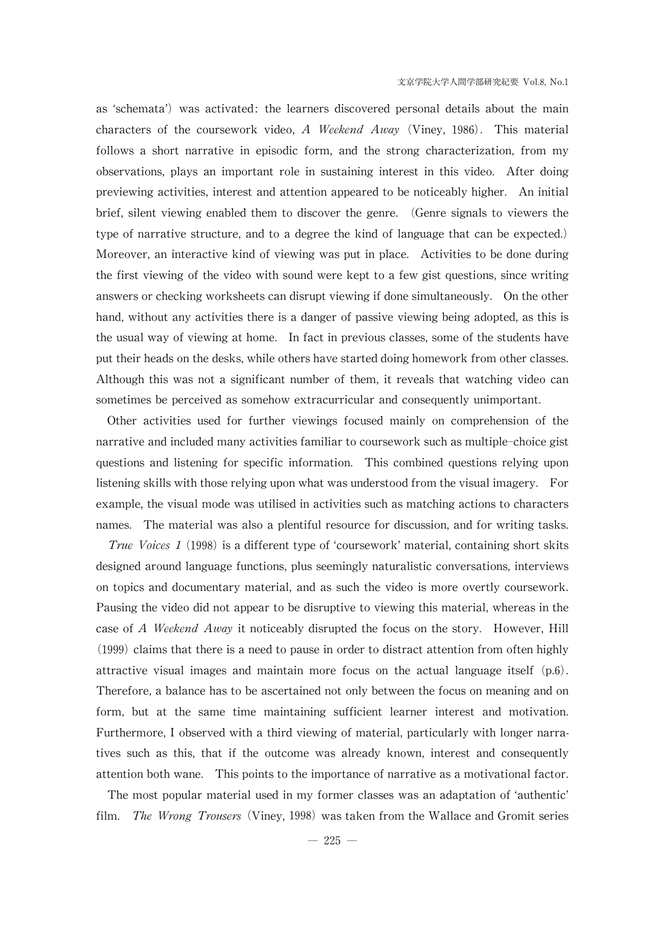as ʻschemata') was activated: the learners discovered personal details about the main characters of the coursework video, A Weekend Away (Viney, 1986). This material follows a short narrative in episodic form, and the strong characterization, from my observations, plays an important role in sustaining interest in this video. After doing previewing activities, interest and attention appeared to be noticeablyhigher. An initial brief, silent viewing enabled them to discover the genre. (Genre signals to viewers the type of narrative structure, and to a degree the kind of language that can be expected.) Moreover, an interactive kind of viewing was put in place. Activities to be done during the first viewing of the video with sound were kept to a few gist questions, since writing answers or checking worksheets can disrupt viewing if done simultaneously. On the other hand, without any activities there is a danger of passive viewing being adopted, as this is the usual way of viewing at home. In fact in previous classes, some of the students have put their heads on the desks, while others have started doing homework from other classes. Although this was not a significant number of them, it reveals that watching video can sometimes be perceived as somehow extracurricular and consequently unimportant.

Other activities used for further viewings focused mainly on comprehension of the narrative and included many activities familiar to coursework such as multiple-choice gist questions and listening for specific information. This combined questions relying upon listening skills with those relying upon what was understood from the visual imagery. For example, the visual mode was utilised in activities such as matching actions to characters names. The material was also a plentiful resource for discussion, and for writing tasks.

*True Voices 1* (1998) is a different type of 'coursework' material, containing short skits designed around language functions, plus seemingly naturalistic conversations, interviews on topics and documentarymaterial, and as such the video is more overtly coursework. Pausing the video did not appear to be disruptive to viewing this material, whereas in the case of A Weekend Away it noticeably disrupted the focus on the story. However, Hill  $(1999)$  claims that there is a need to pause in order to distract attention from often highly attractive visual images and maintain more focus on the actual language itself (p.6). Therefore, a balance has to be ascertained not only between the focus on meaning and on form, but at the same time maintaining sufficient learner interest and motivation. Furthermore, I observed with a third viewing of material, particularly with longer narratives such as this, that if the outcome was already known, interest and consequently attention both wane. This points to the importance of narrative as a motivational factor.

The most popular material used in my former classes was an adaptation ofʻauthentic' film. *The Wrong Trousers* (Viney, 1998) was taken from the Wallace and Gromit series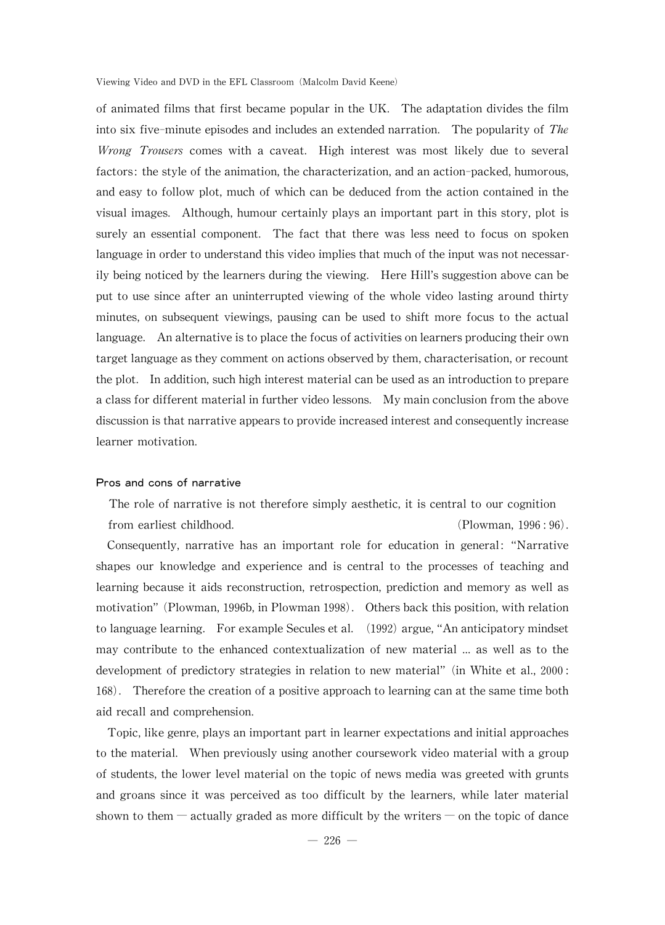of animated films that first became popular in the UK. The adaptation divides the film into six five-minute episodes and includes an extended narration. The popularity of  $The$ Wrong Trousers comes with a caveat. High interest was most likely due to several factors: the style of the animation, the characterization, and an action-packed, humorous, and easy to follow plot, much of which can be deduced from the action contained in the visual images. Although, humour certainly plays an important part in this story, plot is surely an essential component. The fact that there was less need to focus on spoken language in order to understand this video implies that much of the input was not necessarily being noticed by the learners during the viewing. Here Hill's suggestion above can be put to use since after an uninterrupted viewing of the whole video lasting around thirty minutes, on subsequent viewings, pausing can be used to shift more focus to the actual language. An alternative is to place the focus of activities on learners producing their own target language as they comment on actions observed by them, characterisation, or recount the plot. In addition, such high interest material can be used as an introduction to prepare a class for different material in further video lessons. My main conclusion from the above discussion is that narrative appears to provide increased interest and consequently increase learner motivation.

#### Pros and cons of narrative

The role of narrative is not therefore simply aesthetic, it is central to our cognition from earliest childhood. (Plowman, 1996:96).

Consequently, narrative has an important role for education in general: "Narrative shapes our knowledge and experience and is central to the processes of teaching and learning because it aids reconstruction, retrospection, prediction and memory as well as motivation" (Plowman, 1996b, in Plowman 1998). Others back this position, with relation to language learning. For example Secules et al. (1992) argue, "An anticipatory mindset may contribute to the enhanced contextualization of new material ... as well as to the development of predictory strategies in relation to new material"(in White et al., 2000: 168). Therefore the creation of a positive approach to learning can at the same time both aid recall and comprehension.

Topic, like genre, plays an important part in learner expectations and initial approaches to the material. When previously using another coursework video material with a group of students, the lower level material on the topic of news media was greeted with grunts and groans since it was perceived as too difficult by the learners, while later material shown to them — actually graded as more difficult by the writers — on the topic of dance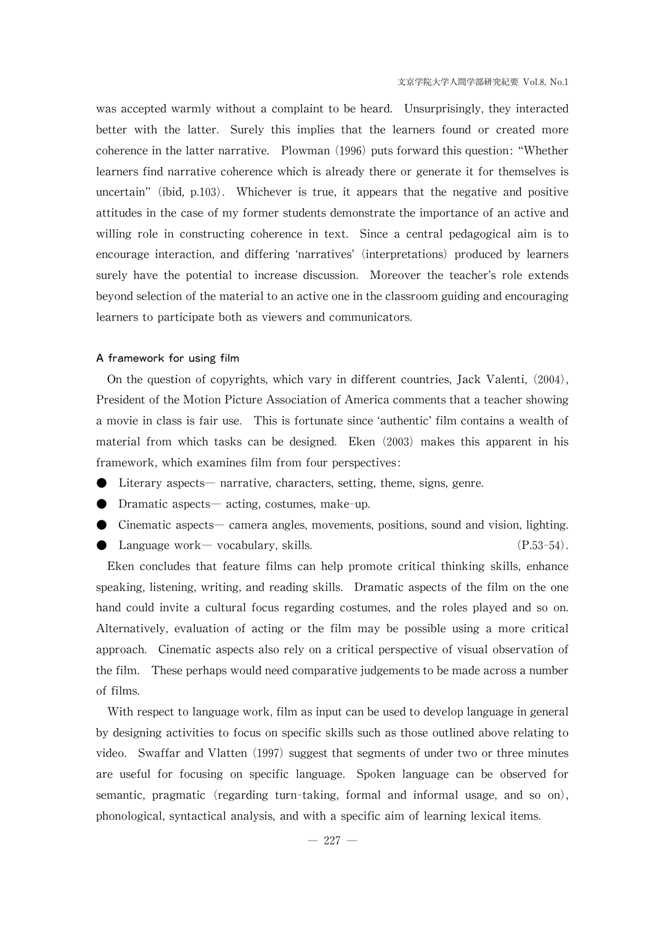was accepted warmly without a complaint to be heard. Unsurprisingly, they interacted better with the latter. Surely this implies that the learners found or created more coherence in the latter narrative. Plowman  $(1996)$  puts forward this question: "Whether learners find narrative coherence which is already there or generate it for themselves is uncertain"(ibid, p.103). Whichever is true, it appears that the negative and positive attitudes in the case of my former students demonstrate the importance of an active and willing role in constructing coherence in text. Since a central pedagogical aim is to encourage interaction, and differing ʻnarratives'(interpretations) produced by learners surely have the potential to increase discussion. Moreover the teacher's role extends beyond selection of the material to an active one in the classroom guiding and encouraging learners to participate both as viewers and communicators.

## A framework for using film

On the question of copyrights, which vary in different countries, Jack Valenti,  $(2004)$ , President of the Motion Picture Association of America comments that a teacher showing a movie in class is fair use. This is fortunate sinceʻauthentic'film contains a wealth of material from which tasks can be designed. Eken (2003) makes this apparent in his framework, which examines film from four perspectives:

- Literary aspects— narrative, characters, setting, theme, signs, genre.
- Dramatic aspects— acting, costumes, make-up.
- $\bullet$  Cinematic aspects— camera angles, movements, positions, sound and vision, lighting. • Language work— vocabulary, skills.  $(P.53-54)$ .

Eken concludes that feature films can help promote critical thinking skills, enhance speaking, listening, writing, and reading skills. Dramatic aspects of the film on the one hand could invite a cultural focus regarding costumes, and the roles played and so on. Alternatively, evaluation of acting or the film may be possible using a more critical approach. Cinematic aspects also rely on a critical perspective of visual observation of the film. These perhaps would need comparative judgements to be made across a number of films.

With respect to language work, film as input can be used to develop language in general by designing activities to focus on specific skills such as those outlined above relating to video. Swaffar and Vlatten (1997) suggest that segments of under two or three minutes are useful for focusing on specific language. Spoken language can be observed for semantic, pragmatic (regarding turn-taking, formal and informal usage, and so on), phonological, syntactical analysis, and with a specific aim of learning lexical items.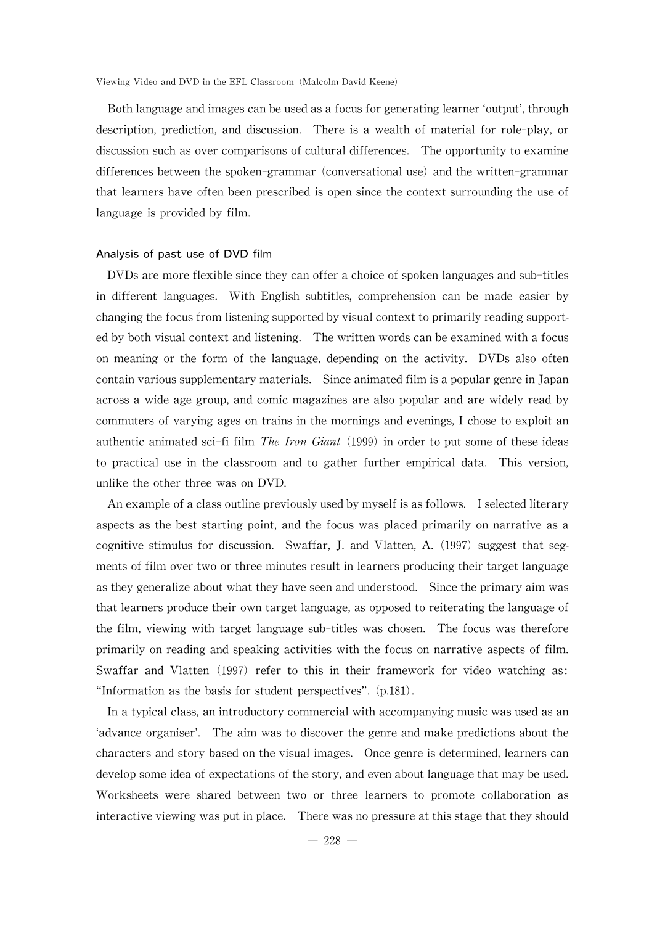Both language and images can be used as a focus for generating learner 'output', through description, prediction, and discussion. There is a wealth of material for role-play, or discussion such as over comparisons of cultural differences. The opportunity to examine differences between the spoken-grammar (conversational use) and the written-grammar that learners have often been prescribed is open since the context surrounding the use of language is provided by film.

#### Analysis of past use of DVD film

DVDs are more flexible since they can offer a choice of spoken languages and sub-titles in different languages. With English subtitles, comprehension can be made easier by changing the focus from listening supported by visual context to primarily reading supported by both visual context and listening. The written words can be examined with a focus on meaning or the form of the language, depending on the activity. DVDs also often contain various supplementary materials. Since animated film is a popular genre in Japan across a wide age group, and comic magazines are also popular and are widely read by commuters of varying ages on trains in the mornings and evenings, I chose to exploit an authentic animated sci-fi film *The Iron Giant* (1999) in order to put some of these ideas to practical use in the classroom and to gather further empirical data. This version, unlike the other three was on DVD.

An example of a class outline previously used by myself is as follows. I selected literary aspects as the best starting point, and the focus was placed primarily on narrative as a cognitive stimulus for discussion. Swaffar, J. and Vlatten, A. (1997) suggest that segments of film over two or three minutes result in learners producing their target language as they generalize about what they have seen and understood. Since the primary aim was that learners produce their own target language, as opposed to reiterating the language of the film, viewing with target language sub-titles was chosen. The focus was therefore primarily on reading and speaking activities with the focus on narrative aspects of film. Swaffar and Vlatten (1997) refer to this in their framework for video watching as: "Information as the basis for student perspectives". (p.181).

In a typical class, an introductory commercial with accompanying music was used as an ʻadvance organiser'. The aim was to discover the genre and make predictions about the characters and story based on the visual images. Once genre is determined, learners can develop some idea of expectations of the story, and even about language that may be used. Worksheets were shared between two or three learners to promote collaboration as interactive viewing was put in place. There was no pressure at this stage that they should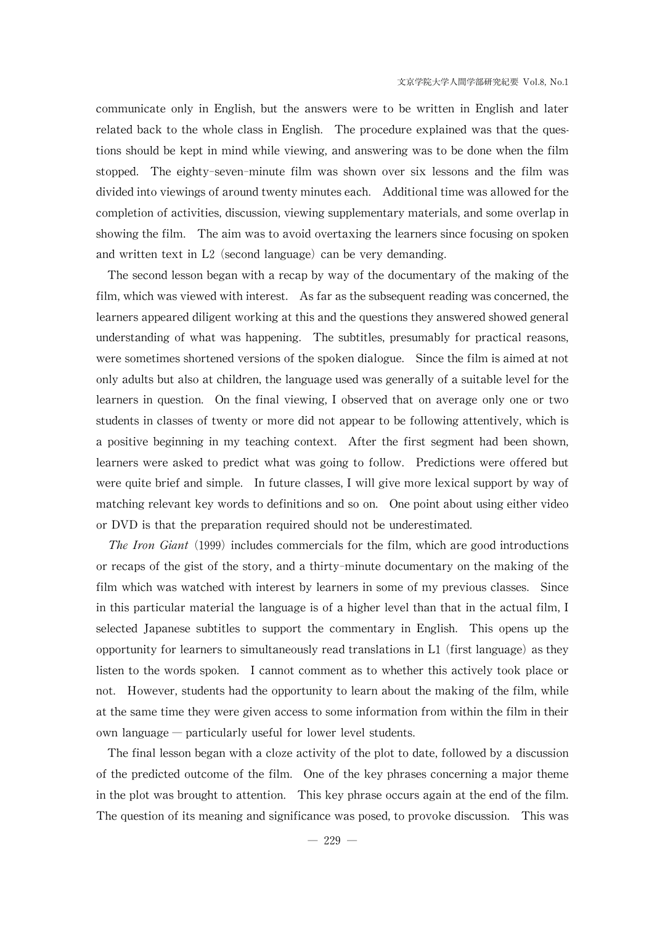communicate only in English, but the answers were to be written in English and later related back to the whole class in English. The procedure explained was that the questions should be kept in mind while viewing, and answering was to be done when the film stopped. The eighty-seven-minute film was shown over six lessons and the film was divided into viewings of around twenty minutes each. Additional time was allowed for the completion of activities, discussion, viewing supplementary materials, and some overlap in showing the film. The aim was to avoid overtaxing the learners since focusing on spoken and written text in  $L2$  (second language) can be very demanding.

The second lesson began with a recap by way of the documentary of the making of the film, which was viewed with interest. As far as the subsequent reading was concerned, the learners appeared diligent working at this and the questions they answered showed general understanding of what was happening. The subtitles, presumably for practical reasons, were sometimes shortened versions of the spoken dialogue. Since the film is aimed at not only adults but also at children, the language used was generally of a suitable level for the learners in question. On the final viewing, I observed that on average only one or two students in classes of twenty or more did not appear to be following attentively, which is a positive beginning in my teaching context. After the first segment had been shown, learners were asked to predict what was going to follow. Predictions were offered but were quite brief and simple. In future classes, I will give more lexical support by way of matching relevant key words to definitions and so on. One point about using either video or DVD is that the preparation required should not be underestimated.

The Iron Giant  $(1999)$  includes commercials for the film, which are good introductions or recaps of the gist of the story, and a thirty-minute documentary on the making of the film which was watched with interest by learners in some of my previous classes. Since in this particular material the language is of a higher level than that in the actual film, I selected Japanese subtitles to support the commentary in English. This opens up the opportunity for learners to simultaneously read translations in  $L1$  (first language) as they listen to the words spoken. I cannot comment as to whether this actively took place or not. However, students had the opportunity to learn about the making of the film, while at the same time they were given access to some information from within the film in their own language― particularly useful for lower level students.

The final lesson began with a cloze activity of the plot to date, followed by a discussion of the predicted outcome of the film. One of the keyphrases concerning a major theme in the plot was brought to attention. This key phrase occurs again at the end of the film. The question of its meaning and significance was posed, to provoke discussion. This was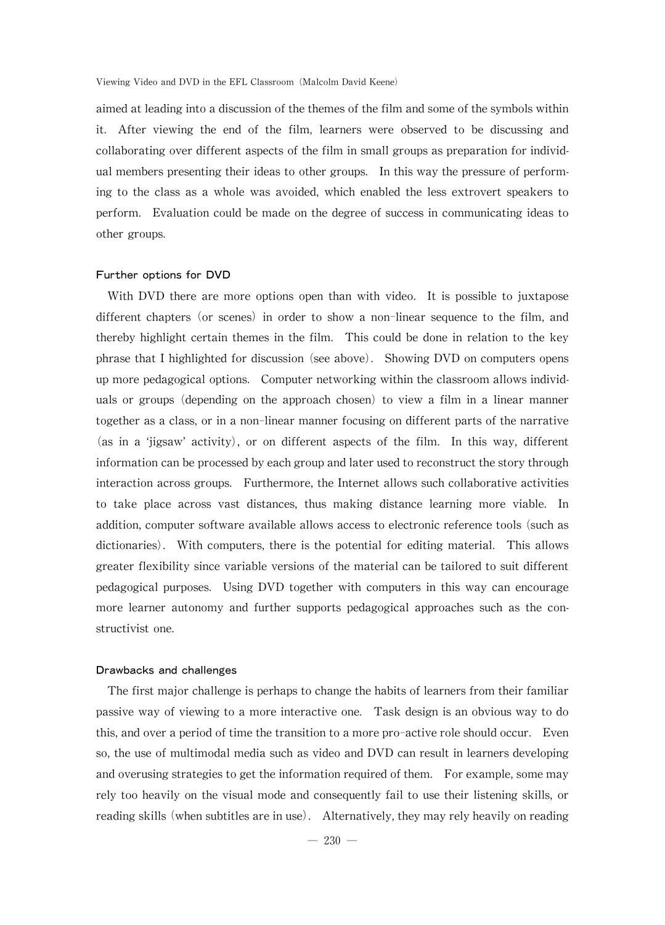aimed at leading into a discussion of the themes of the film and some of the symbols within it. After viewing the end of the film, learners were observed to be discussing and collaborating over different aspects of the film in small groups as preparation for individual members presenting their ideas to other groups. In this way the pressure of performing to the class as a whole was avoided, which enabled the less extrovert speakers to perform. Evaluation could be made on the degree of success in communicating ideas to other groups.

#### Further options for DVD

With DVD there are more options open than with video. It is possible to juxtapose different chapters (or scenes) in order to show a non-linear sequence to the film, and thereby highlight certain themes in the film. This could be done in relation to the key phrase that I highlighted for discussion (see above). Showing DVD on computers opens up more pedagogical options. Computer networking within theclassroom allows individuals or groups (depending on the approach chosen) to view a film in a linear manner together as a class, or in a non-linear manner focusing on different parts of the narrative (as in a ʻjigsaw'activity), or on different aspects of the film. In this way, different information can be processed by each group and later used to reconstruct the story through interaction across groups. Furthermore, the Internet allows such collaborative activities to take place across vast distances, thus making distance learning more viable. In addition, computer software available allows access to electronic reference tools (such as dictionaries). With computers, there is the potential for editing material. This allows greater flexibility since variable versions of the material can be tailored to suit different pedagogical purposes. Using DVD together with computers in this way can encourage more learner autonomy and further supports pedagogical approaches such as the constructivist one.

#### Drawbacks and challenges

The first major challenge is perhaps to change the habits of learners from their familiar passive way of viewing to a more interactive one. Task design is an obvious wayto do this, and over a period of time the transition to a more pro-active role should occur. Even so, the use of multimodal media such as video and DVD can result in learners developing and overusing strategies to get the information required of them. For example, some may rely too heavily on the visual mode and consequently fail to use their listening skills, or reading skills (when subtitles are in use). Alternatively, they may rely heavily on reading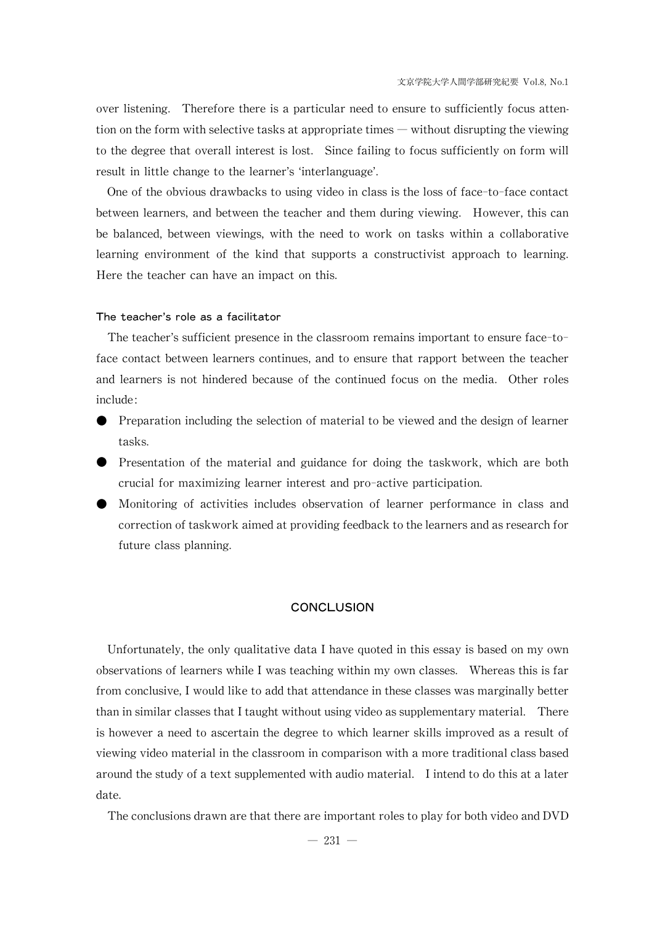over listening. Therefore there is a particular need to ensure to sufficiently focus attention on the form with selective tasks at appropriate times — without disrupting the viewing to the degree that overall interest is lost. Since failing to focus sufficientlyon form will result in little change to the learner's ʻinterlanguage'.

One of the obvious drawbacks to using video in class is the loss of face-to-face contact between learners, and between the teacher and them during viewing. However, this can be balanced, between viewings, with the need to work on tasks within a collaborative learning environment of the kind that supports a constructivist approach to learning. Here the teacher can have an impact on this.

#### The teacher's role as a facilitator

The teacher's sufficient presence in the classroom remains important to ensure face-toface contact between learners continues, and to ensure that rapport between the teacher and learners is not hindered because of the continued focus on the media. Other roles include:

- Preparation including the selection of material to be viewed and the design of learner tasks.
- Presentation of the material and guidance for doing the taskwork, which are both crucial for maximizing learner interest and pro-active participation.
- Monitoring of activities includes observation of learner performance in class and correction of taskwork aimed at providing feedback to the learners and as research for future class planning.

#### **CONCLUSION**

Unfortunately, the only qualitative data I have quoted in this essay is based on my own observations oflearners whileI was teaching within myown classes. Whereas this is far from conclusive, I would like to add that attendance in these classes was marginally better than in similar classes that I taught without using video as supplementary material. There is however a need to ascertain the degree to which learner skills improved as a result of viewing video material in the classroom in comparison with a more traditional class based around the study of a text supplemented with audio material. I intend to do this at a later date.

The conclusions drawn are that there are important roles to play for both video and DVD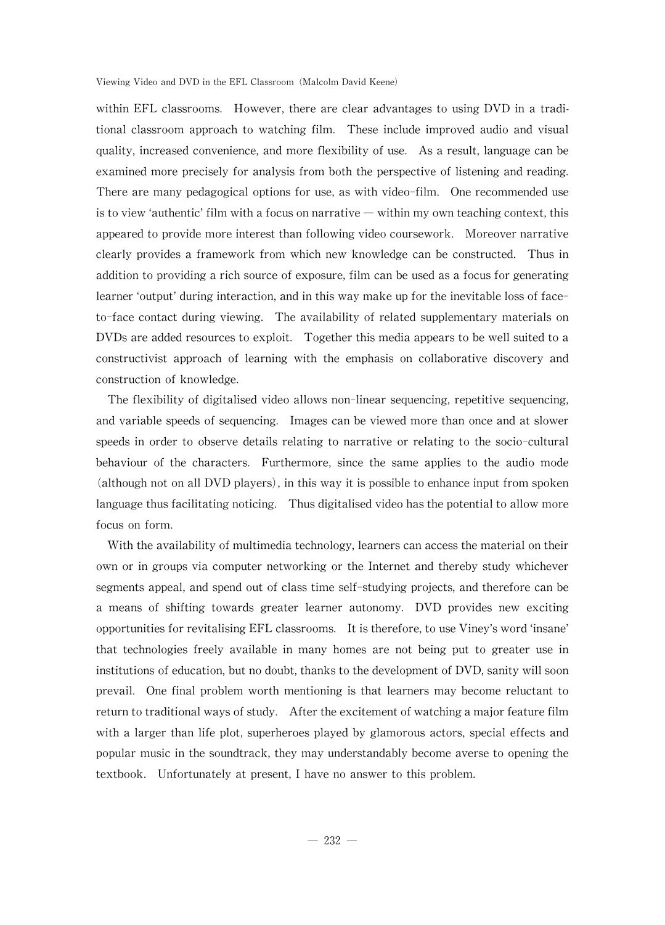within EFL classrooms. However, there are clear advantages to using DVD in a traditional classroom approach to watching film. These include improved audio and visual quality, increased convenience, and more flexibility of use. As a result, language can be examined more precisely for analysis from both the perspective of listening and reading. There are many pedagogical options for use, as with video-film. One recommended use is to view 'authentic' film with a focus on narrative — within my own teaching context, this appeared to provide more interest than following video coursework. Moreover narrative clearly provides a framework from which new knowledge can be constructed. Thus in addition to providing a rich source of exposure, film can be used as a focus for generating learner 'output' during interaction, and in this way make up for the inevitable loss of faceto-face contact during viewing. The availability of related supplementary materials on DVDs are added resources to exploit. Together this media appears to be well suited to a constructivist approach of learning with the emphasis on collaborative discovery and construction of knowledge.

The flexibility of digitalised video allows non-linear sequencing, repetitive sequencing, and variable speeds of sequencing. Images can be viewed more than once and at slower speeds in order to observe details relating to narrative or relating to the socio-cultural behaviour of the characters. Furthermore, since the same applies to the audio mode  $\alpha$  (although not on all DVD players), in this way it is possible to enhance input from spoken language thus facilitating noticing. Thus digitalised video has the potential to allow more focus on form.

With the availability of multimedia technology, learners can access the material on their own or in groups via computer networking or the Internet and thereby study whichever segments appeal, and spend out of class time self-studying projects, and therefore can be a means of shifting towards greater learner autonomy. DVD provides new exciting opportunities for revitalising EFL classrooms. It is therefore, to use Viney's word 'insane' that technologies freely available in many homes are not being put to greater use in institutions of education, but no doubt, thanks to the development of DVD, sanity will soon prevail. One final problem worth mentioning is that learners may become reluctant to return to traditional ways of study. After the excitement of watching a major feature film with a larger than life plot, superheroes played by glamorous actors, special effects and popular music in the sound track, they may understandably become averse to opening the textbook. Unfortunately at present, I have no answer to this problem.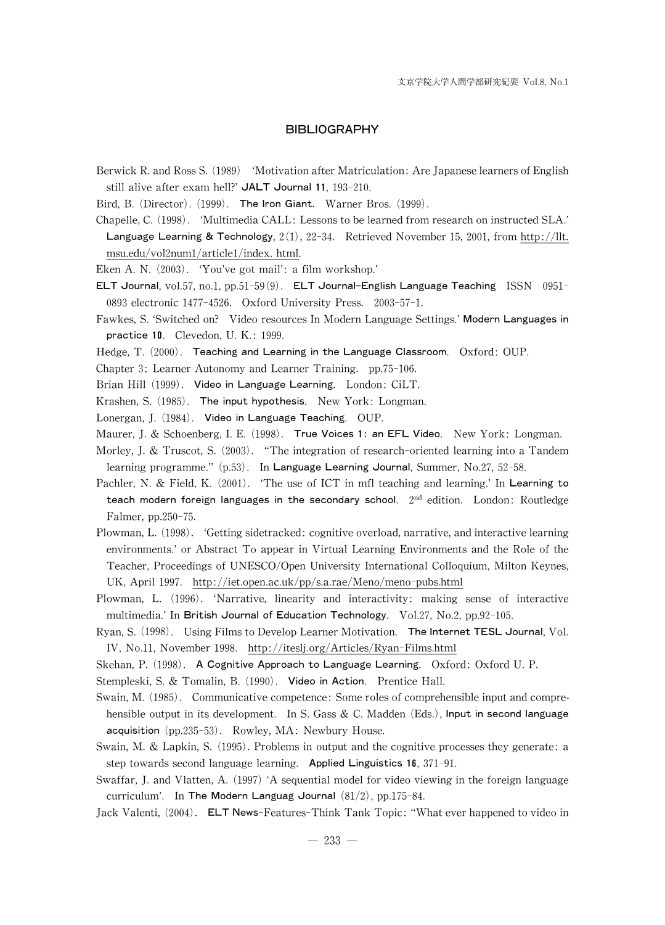#### **BIBLIOGRAPHY**

- Berwick R. and Ross S. (1989) 'Motivation after Matriculation: Are Japanese learners of English still alive after exam hell?' JALT Journal 11, 193-210.
- Bird, B. (Director). (1999). The Iron Giant. Warner Bros. (1999).
- Chapelle, C. (1998). 'Multimedia CALL: Lessons to be learned from research on instructed SLA.' Language Learning & Technology,  $2(1)$ ,  $22-34$ . Retrieved November 15, 2001, from http://llt. msu.edu/vol2num1/article1/index.html.
- Eken A.N.(2003). ʻYou've got mail': a film workshop.'
- ELT Journal,  $vol.57$ ,  $no.1$ ,  $pp.51-59(9)$ . ELT Journal-English Language Teaching ISSN 0951-0893electronic 1477-4526. Oxford University Press. 2003-57-1.
- Fawkes, S. 'Switched on? Video resources In Modern Language Settings.' Modern Languages in practice 10. Clevedon, U.K.: 1999.
- Hedge, T. (2000). Teaching and Learning in the Language Classroom. Oxford: OUP.
- Chapter 3: Learner Autonomy and Learner Training. pp.75-106.
- Brian Hill (1999). Video in Language Learning. London: CiLT.
- Krashen, S. (1985). The input hypothesis. New York: Longman.
- Lonergan, J. (1984). Video in Language Teaching. OUP.
- Maurer, J. & Schoenberg, I. E. (1998). True Voices 1: an EFL Video. New York: Longman.
- Morley, J. & Truscot, S. (2003). "The integration of research-oriented learning into a Tandem learning programme." (p.53). In Language Learning Journal, Summer, No.27, 52-58.
- Pachler, N. & Field, K. (2001). 'The use of ICT in mfl teaching and learning.' In Learning to teach modern foreign languages in the secondary school.  $2<sup>nd</sup>$  edition. London: Routledge Falmer, pp.250-75.
- Plowman, L. (1998). 'Getting sidetracked: cognitive overload, narrative, and interactive learning environments.'or Abstract To appear in Virtual Learning Environments and the Role of the Teacher, Proceedings of UNESCO/Open University International Colloquium, Milton Keynes, UK,April 1997. http://iet.open.ac.uk/pp/s.a.rae/Meno/meno-pubs.html
- Plowman, L. (1996). ʻNarrative, linearity and interactivity: making sense of interactive multimedia.' In British Journal of Education Technology. Vol.27, No.2, pp.92-105.
- Ryan, S. (1998). Using Films to Develop Learner Motivation. The Internet TESL Journal, Vol. IV, No.11, November 1998. http://iteslj.org/Articles/Ryan-Films.html
- Skehan, P. (1998). A Cognitive Approach to Language Learning. Oxford: Oxford U.P.
- Stempleski, S. & Tomalin, B. (1990). Video in Action. Prentice Hall.
- Swain, M. (1985). Communicative competence: Some roles of comprehensible input and comprehensible output in its development. In S. Gass  $\&$  C. Madden (Eds.), Input in second language acquisition  $(pp.235-53)$ . Rowley, MA: Newbury House.
- Swain, M. & Lapkin, S. (1995). Problems in output and the cognitive processes they generate: a step towards second language learning. Applied Linguistics 16,371-91.
- Swaffar, J. and Vlatten, A. (1997) 'A sequential model for video viewing in the foreign language curriculum'. In The Modern Languag Journal  $(81/2)$ , pp.175-84.
- Jack Valenti, (2004). ELT News-Features-Think Tank Topic: "What ever happened to video in